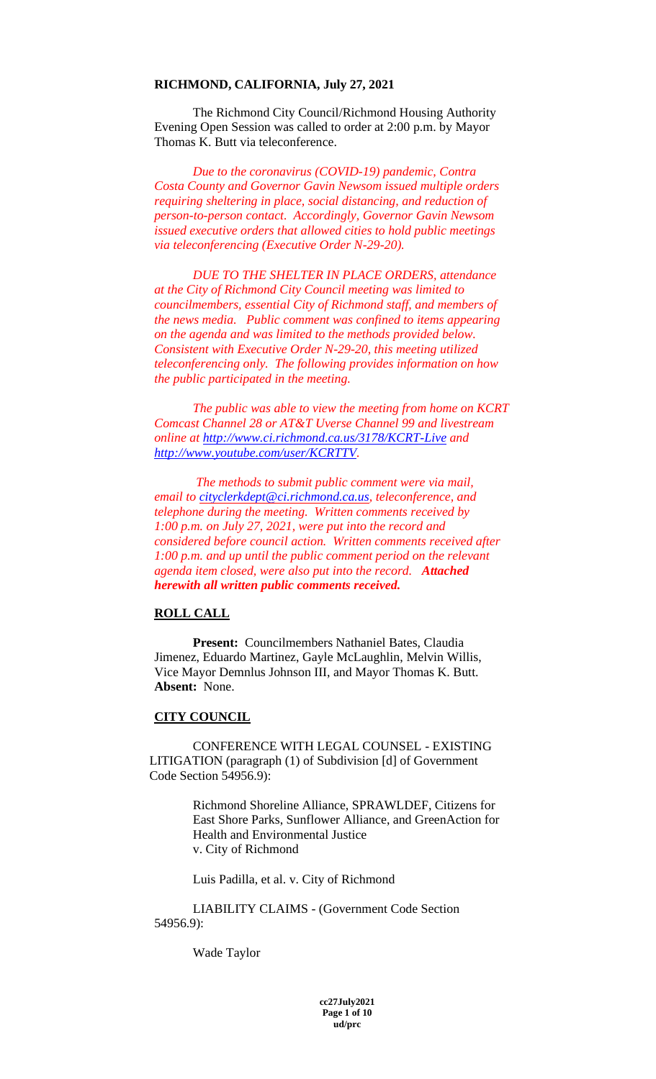#### **RICHMOND, CALIFORNIA, July 27, 2021**

The Richmond City Council/Richmond Housing Authority Evening Open Session was called to order at 2:00 p.m. by Mayor Thomas K. Butt via teleconference.

*Due to the coronavirus (COVID-19) pandemic, Contra Costa County and Governor Gavin Newsom issued multiple orders requiring sheltering in place, social distancing, and reduction of person-to-person contact. Accordingly, Governor Gavin Newsom issued executive orders that allowed cities to hold public meetings via teleconferencing (Executive Order N-29-20).* 

*DUE TO THE SHELTER IN PLACE ORDERS, attendance at the City of Richmond City Council meeting was limited to councilmembers, essential City of Richmond staff, and members of the news media. Public comment was confined to items appearing on the agenda and was limited to the methods provided below. Consistent with Executive Order N-29-20, this meeting utilized teleconferencing only. The following provides information on how the public participated in the meeting.*

*The public was able to view the meeting from home on KCRT Comcast Channel 28 or AT&T Uverse Channel 99 and livestream online at<http://www.ci.richmond.ca.us/3178/KCRT-Live> and [http://www.youtube.com/user/KCRTTV.](http://www.youtube.com/user/KCRTTV)*

*The methods to submit public comment were via mail, email to [cityclerkdept@ci.richmond.ca.us,](mailto:cityclerkdept@ci.richmond.ca.us) teleconference, and telephone during the meeting. Written comments received by 1:00 p.m. on July 27, 2021, were put into the record and considered before council action. Written comments received after 1:00 p.m. and up until the public comment period on the relevant agenda item closed, were also put into the record. Attached herewith all written public comments received.* 

# **ROLL CALL**

**Present:** Councilmembers Nathaniel Bates, Claudia Jimenez, Eduardo Martinez, Gayle McLaughlin, Melvin Willis, Vice Mayor Demnlus Johnson III, and Mayor Thomas K. Butt. **Absent:** None.

### **CITY COUNCIL**

CONFERENCE WITH LEGAL COUNSEL - EXISTING LITIGATION (paragraph (1) of Subdivision [d] of Government Code Section 54956.9):

> Richmond Shoreline Alliance, SPRAWLDEF, Citizens for East Shore Parks, Sunflower Alliance, and GreenAction for Health and Environmental Justice v. City of Richmond

Luis Padilla, et al. v. City of Richmond

LIABILITY CLAIMS - (Government Code Section 54956.9):

Wade Taylor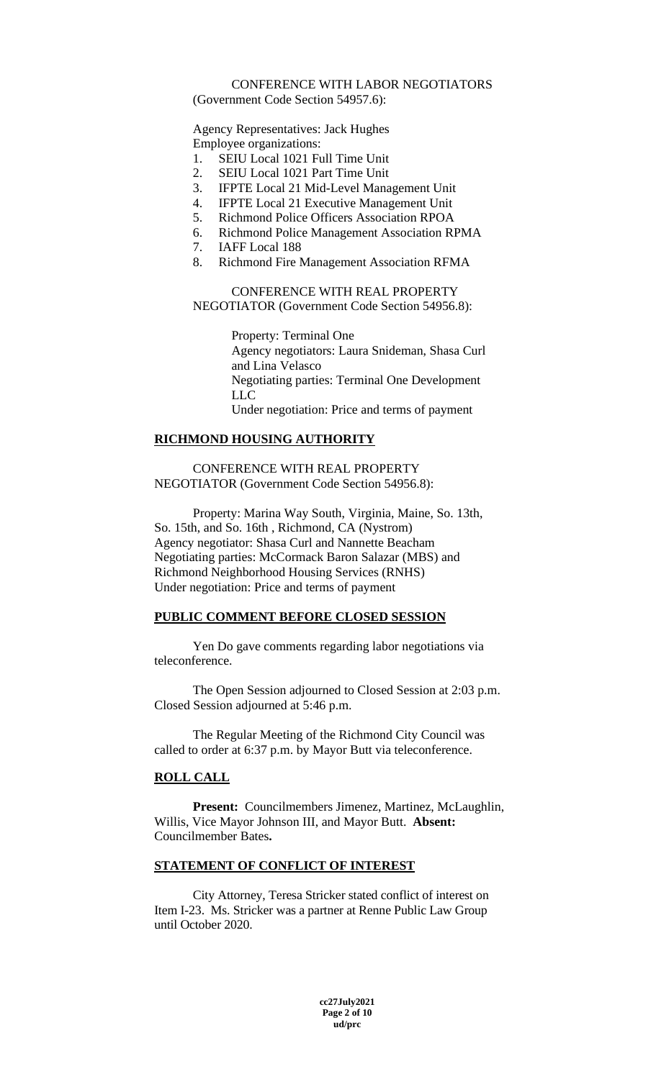### CONFERENCE WITH LABOR NEGOTIATORS (Government Code Section 54957.6):

Agency Representatives: Jack Hughes Employee organizations:

- 1. SEIU Local 1021 Full Time Unit
- 2. SEIU Local 1021 Part Time Unit
- 3. IFPTE Local 21 Mid-Level Management Unit
- 4. IFPTE Local 21 Executive Management Unit
- 5. Richmond Police Officers Association RPOA
- 6. Richmond Police Management Association RPMA
- 7. IAFF Local 188
- 8. Richmond Fire Management Association RFMA

CONFERENCE WITH REAL PROPERTY NEGOTIATOR (Government Code Section 54956.8):

> Property: Terminal One Agency negotiators: Laura Snideman, Shasa Curl and Lina Velasco Negotiating parties: Terminal One Development LLC Under negotiation: Price and terms of payment

# **RICHMOND HOUSING AUTHORITY**

CONFERENCE WITH REAL PROPERTY NEGOTIATOR (Government Code Section 54956.8):

Property: Marina Way South, Virginia, Maine, So. 13th, So. 15th, and So. 16th , Richmond, CA (Nystrom) Agency negotiator: Shasa Curl and Nannette Beacham Negotiating parties: McCormack Baron Salazar (MBS) and Richmond Neighborhood Housing Services (RNHS) Under negotiation: Price and terms of payment

# **PUBLIC COMMENT BEFORE CLOSED SESSION**

Yen Do gave comments regarding labor negotiations via teleconference.

The Open Session adjourned to Closed Session at 2:03 p.m. Closed Session adjourned at 5:46 p.m.

The Regular Meeting of the Richmond City Council was called to order at 6:37 p.m. by Mayor Butt via teleconference.

# **ROLL CALL**

**Present:** Councilmembers Jimenez, Martinez, McLaughlin, Willis, Vice Mayor Johnson III, and Mayor Butt. **Absent:**  Councilmember Bates**.** 

# **STATEMENT OF CONFLICT OF INTEREST**

City Attorney, Teresa Stricker stated conflict of interest on Item I-23. Ms. Stricker was a partner at Renne Public Law Group until October 2020.

> **cc27July2021 Page 2 of 10 ud/prc**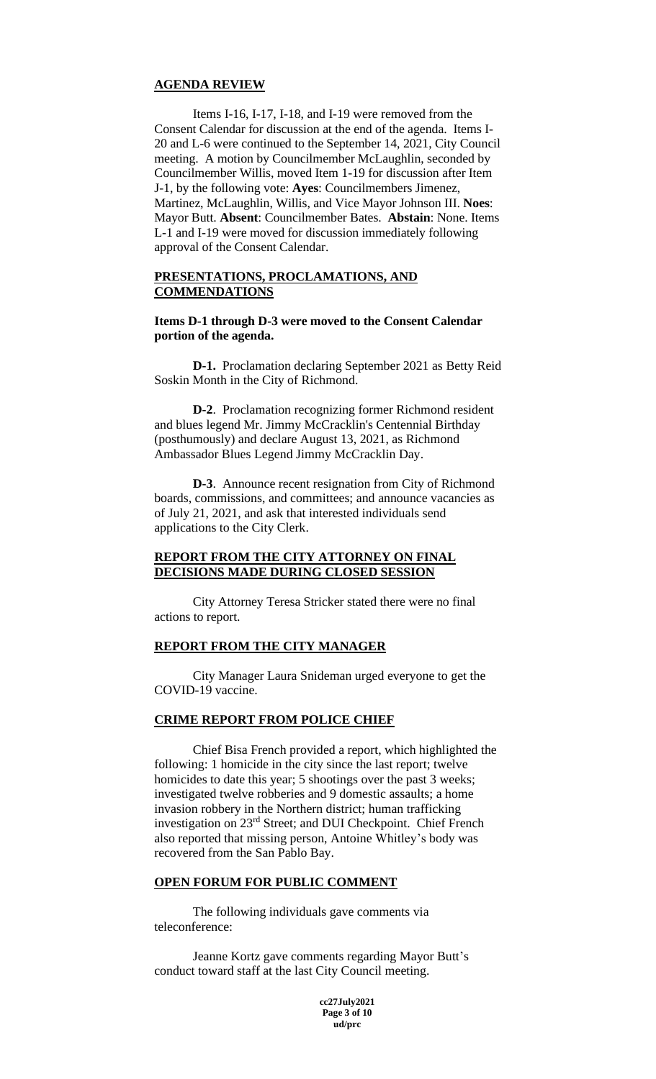### **AGENDA REVIEW**

Items I-16, I-17, I-18, and I-19 were removed from the Consent Calendar for discussion at the end of the agenda. Items I-20 and L-6 were continued to the September 14, 2021, City Council meeting. A motion by Councilmember McLaughlin, seconded by Councilmember Willis, moved Item 1-19 for discussion after Item J-1, by the following vote: **Ayes**: Councilmembers Jimenez, Martinez, McLaughlin, Willis, and Vice Mayor Johnson III. **Noes**: Mayor Butt. **Absent**: Councilmember Bates. **Abstain**: None. Items L-1 and I-19 were moved for discussion immediately following approval of the Consent Calendar.

# **PRESENTATIONS, PROCLAMATIONS, AND COMMENDATIONS**

**Items D-1 through D-3 were moved to the Consent Calendar portion of the agenda.**

**D-1.** Proclamation declaring September 2021 as Betty Reid Soskin Month in the City of Richmond.

**D-2**. Proclamation recognizing former Richmond resident and blues legend Mr. Jimmy McCracklin's Centennial Birthday (posthumously) and declare August 13, 2021, as Richmond Ambassador Blues Legend Jimmy McCracklin Day.

**D-3**. Announce recent resignation from City of Richmond boards, commissions, and committees; and announce vacancies as of July 21, 2021, and ask that interested individuals send applications to the City Clerk.

### **REPORT FROM THE CITY ATTORNEY ON FINAL DECISIONS MADE DURING CLOSED SESSION**

City Attorney Teresa Stricker stated there were no final actions to report.

### **REPORT FROM THE CITY MANAGER**

City Manager Laura Snideman urged everyone to get the COVID-19 vaccine.

### **CRIME REPORT FROM POLICE CHIEF**

Chief Bisa French provided a report, which highlighted the following: 1 homicide in the city since the last report; twelve homicides to date this year; 5 shootings over the past 3 weeks; investigated twelve robberies and 9 domestic assaults; a home invasion robbery in the Northern district; human trafficking investigation on 23rd Street; and DUI Checkpoint. Chief French also reported that missing person, Antoine Whitley's body was recovered from the San Pablo Bay.

### **OPEN FORUM FOR PUBLIC COMMENT**

The following individuals gave comments via teleconference:

Jeanne Kortz gave comments regarding Mayor Butt's conduct toward staff at the last City Council meeting.

> **cc27July2021 Page 3 of 10 ud/prc**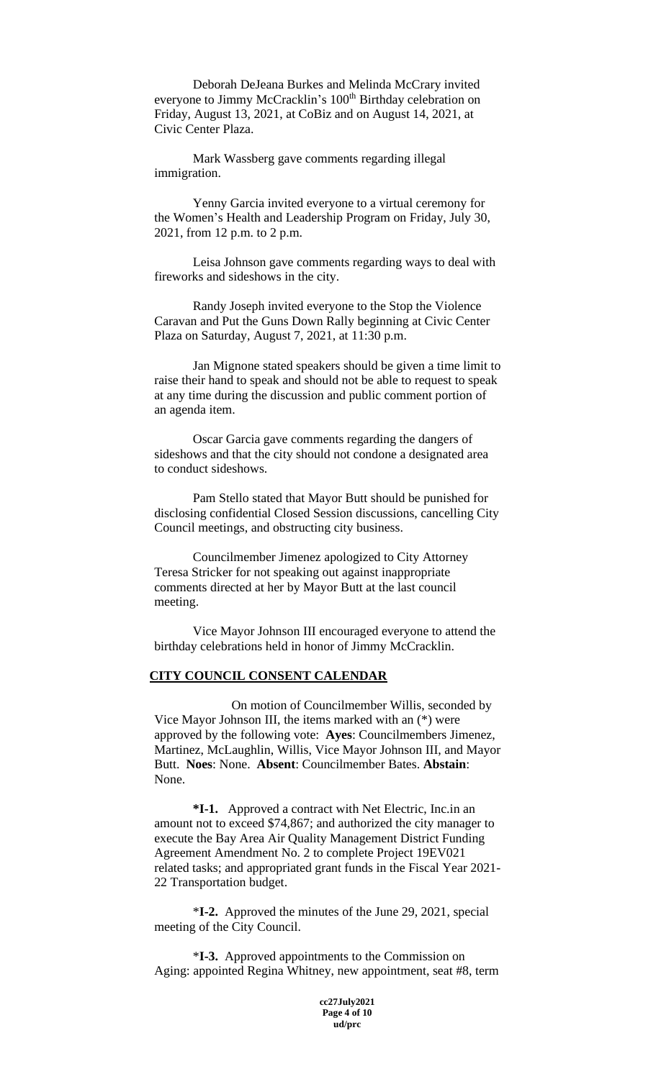Deborah DeJeana Burkes and Melinda McCrary invited everyone to Jimmy McCracklin's 100<sup>th</sup> Birthday celebration on Friday, August 13, 2021, at CoBiz and on August 14, 2021, at Civic Center Plaza.

Mark Wassberg gave comments regarding illegal immigration.

Yenny Garcia invited everyone to a virtual ceremony for the Women's Health and Leadership Program on Friday, July 30, 2021, from 12 p.m. to 2 p.m.

Leisa Johnson gave comments regarding ways to deal with fireworks and sideshows in the city.

Randy Joseph invited everyone to the Stop the Violence Caravan and Put the Guns Down Rally beginning at Civic Center Plaza on Saturday, August 7, 2021, at 11:30 p.m.

Jan Mignone stated speakers should be given a time limit to raise their hand to speak and should not be able to request to speak at any time during the discussion and public comment portion of an agenda item.

Oscar Garcia gave comments regarding the dangers of sideshows and that the city should not condone a designated area to conduct sideshows.

Pam Stello stated that Mayor Butt should be punished for disclosing confidential Closed Session discussions, cancelling City Council meetings, and obstructing city business.

Councilmember Jimenez apologized to City Attorney Teresa Stricker for not speaking out against inappropriate comments directed at her by Mayor Butt at the last council meeting.

Vice Mayor Johnson III encouraged everyone to attend the birthday celebrations held in honor of Jimmy McCracklin.

#### **CITY COUNCIL CONSENT CALENDAR**

On motion of Councilmember Willis, seconded by Vice Mayor Johnson III, the items marked with an (\*) were approved by the following vote: **Ayes**: Councilmembers Jimenez, Martinez, McLaughlin, Willis, Vice Mayor Johnson III, and Mayor Butt. **Noes**: None. **Absent**: Councilmember Bates. **Abstain**: None.

**\*I-1.** Approved a contract with Net Electric, Inc.in an amount not to exceed \$74,867; and authorized the city manager to execute the Bay Area Air Quality Management District Funding Agreement Amendment No. 2 to complete Project 19EV021 related tasks; and appropriated grant funds in the Fiscal Year 2021- 22 Transportation budget.

\***I-2.** Approved the minutes of the June 29, 2021, special meeting of the City Council.

\***I-3.** Approved appointments to the Commission on Aging: appointed Regina Whitney, new appointment, seat #8, term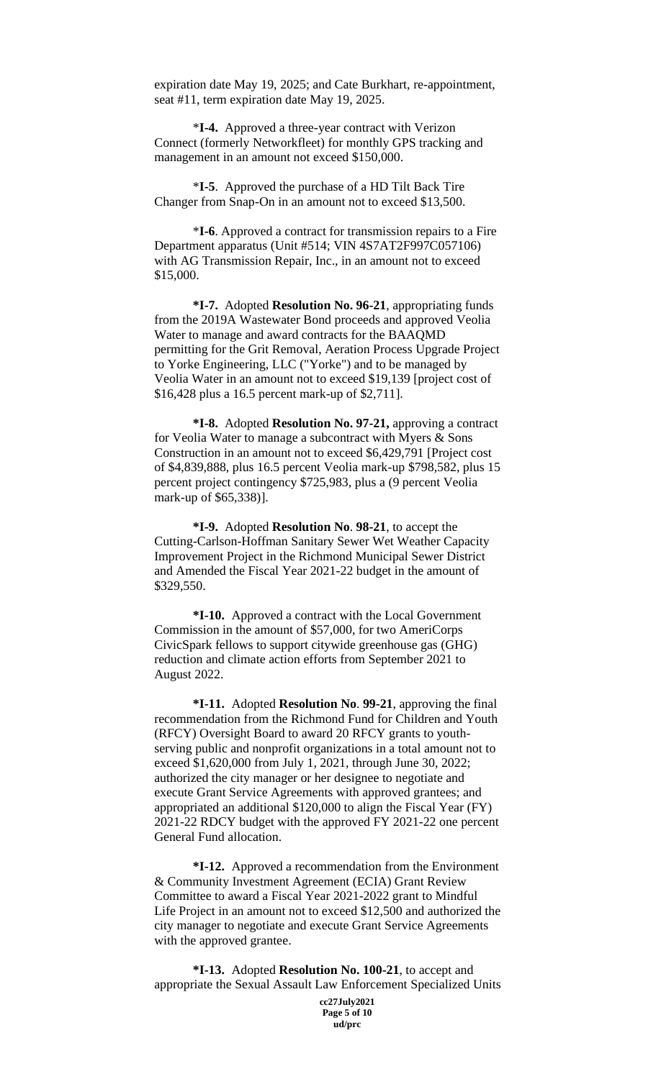expiration date May 19, 2025; and Cate Burkhart, re-appointment, seat #11, term expiration date May 19, 2025.

\***I-4.** Approved a three-year contract with Verizon Connect (formerly Networkfleet) for monthly GPS tracking and management in an amount not exceed \$150,000.

\***I-5**. Approved the purchase of a HD Tilt Back Tire Changer from Snap-On in an amount not to exceed \$13,500.

\***I-6**. Approved a contract for transmission repairs to a Fire Department apparatus (Unit #514; VIN 4S7AT2F997C057106) with AG Transmission Repair, Inc., in an amount not to exceed \$15,000.

**\*I-7.** Adopted **Resolution No. 96-21**, appropriating funds from the 2019A Wastewater Bond proceeds and approved Veolia Water to manage and award contracts for the BAAQMD permitting for the Grit Removal, Aeration Process Upgrade Project to Yorke Engineering, LLC ("Yorke") and to be managed by Veolia Water in an amount not to exceed \$19,139 [project cost of \$16,428 plus a 16.5 percent mark-up of \$2,711].

**\*I-8.** Adopted **Resolution No. 97-21,** approving a contract for Veolia Water to manage a subcontract with Myers & Sons Construction in an amount not to exceed \$6,429,791 [Project cost of \$4,839,888, plus 16.5 percent Veolia mark-up \$798,582, plus 15 percent project contingency \$725,983, plus a (9 percent Veolia mark-up of \$65,338)].

**\*I-9.** Adopted **Resolution No**. **98-21**, to accept the Cutting-Carlson-Hoffman Sanitary Sewer Wet Weather Capacity Improvement Project in the Richmond Municipal Sewer District and Amended the Fiscal Year 2021-22 budget in the amount of \$329,550.

**\*I-10.** Approved a contract with the Local Government Commission in the amount of \$57,000, for two AmeriCorps CivicSpark fellows to support citywide greenhouse gas (GHG) reduction and climate action efforts from September 2021 to August 2022.

**\*I-11.** Adopted **Resolution No**. **99-21**, approving the final recommendation from the Richmond Fund for Children and Youth (RFCY) Oversight Board to award 20 RFCY grants to youthserving public and nonprofit organizations in a total amount not to exceed \$1,620,000 from July 1, 2021, through June 30, 2022; authorized the city manager or her designee to negotiate and execute Grant Service Agreements with approved grantees; and appropriated an additional \$120,000 to align the Fiscal Year (FY) 2021-22 RDCY budget with the approved FY 2021-22 one percent General Fund allocation.

**\*I-12.** Approved a recommendation from the Environment & Community Investment Agreement (ECIA) Grant Review Committee to award a Fiscal Year 2021-2022 grant to Mindful Life Project in an amount not to exceed \$12,500 and authorized the city manager to negotiate and execute Grant Service Agreements with the approved grantee.

**cc27July2021 \*I-13.** Adopted **Resolution No. 100-21**, to accept and appropriate the Sexual Assault Law Enforcement Specialized Units

**Page 5 of 10 ud/prc**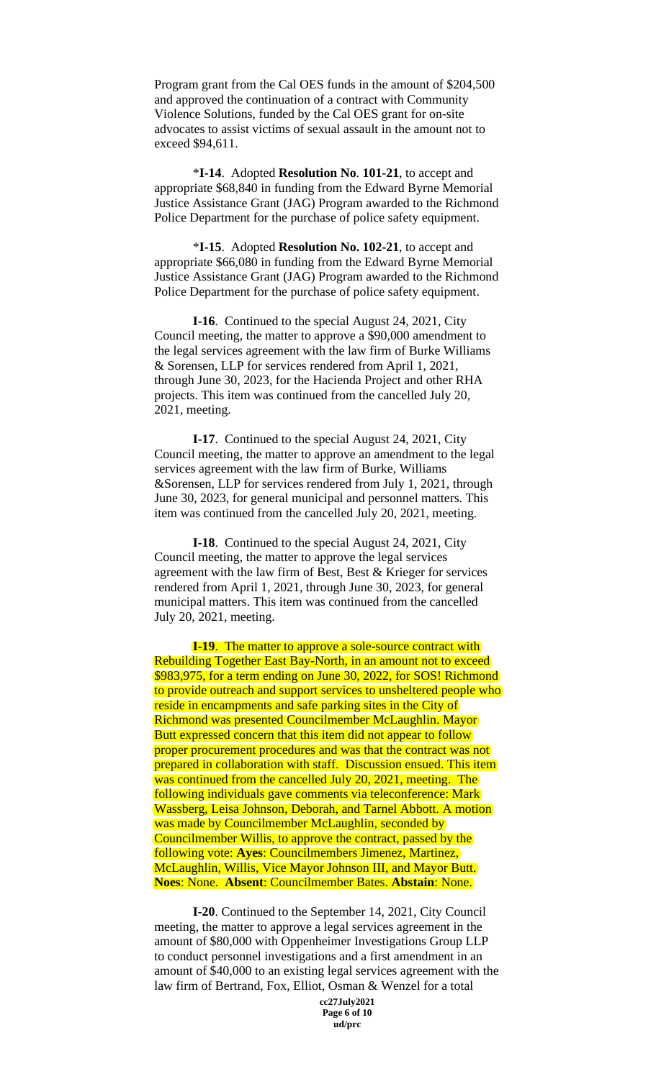Program grant from the Cal OES funds in the amount of \$204,500 and approved the continuation of a contract with Community Violence Solutions, funded by the Cal OES grant for on-site advocates to assist victims of sexual assault in the amount not to exceed \$94,611.

\***I-14**. Adopted **Resolution No**. **101-21**, to accept and appropriate \$68,840 in funding from the Edward Byrne Memorial Justice Assistance Grant (JAG) Program awarded to the Richmond Police Department for the purchase of police safety equipment.

\***I-15**. Adopted **Resolution No. 102-21**, to accept and appropriate \$66,080 in funding from the Edward Byrne Memorial Justice Assistance Grant (JAG) Program awarded to the Richmond Police Department for the purchase of police safety equipment.

**I-16**. Continued to the special August 24, 2021, City Council meeting, the matter to approve a \$90,000 amendment to the legal services agreement with the law firm of Burke Williams & Sorensen, LLP for services rendered from April 1, 2021, through June 30, 2023, for the Hacienda Project and other RHA projects. This item was continued from the cancelled July 20, 2021, meeting.

**I-17**. Continued to the special August 24, 2021, City Council meeting, the matter to approve an amendment to the legal services agreement with the law firm of Burke, Williams &Sorensen, LLP for services rendered from July 1, 2021, through June 30, 2023, for general municipal and personnel matters. This item was continued from the cancelled July 20, 2021, meeting.

**I-18**. Continued to the special August 24, 2021, City Council meeting, the matter to approve the legal services agreement with the law firm of Best, Best & Krieger for services rendered from April 1, 2021, through June 30, 2023, for general municipal matters. This item was continued from the cancelled July 20, 2021, meeting.

**I-19.** The matter to approve a sole-source contract with Rebuilding Together East Bay-North, in an amount not to exceed \$983,975, for a term ending on June 30, 2022, for SOS! Richmond to provide outreach and support services to unsheltered people who reside in encampments and safe parking sites in the City of Richmond was presented Councilmember McLaughlin. Mayor Butt expressed concern that this item did not appear to follow proper procurement procedures and was that the contract was not prepared in collaboration with staff. Discussion ensued. This item was continued from the cancelled July 20, 2021, meeting. The following individuals gave comments via teleconference: Mark Wassberg, Leisa Johnson, Deborah, and Tarnel Abbott. A motion was made by Councilmember McLaughlin, seconded by Councilmember Willis, to approve the contract, passed by the following vote: **Ayes**: Councilmembers Jimenez, Martinez, McLaughlin, Willis, Vice Mayor Johnson III, and Mayor Butt. **Noes**: None. **Absent**: Councilmember Bates. **Abstain**: None.

**I-20**. Continued to the September 14, 2021, City Council meeting, the matter to approve a legal services agreement in the amount of \$80,000 with Oppenheimer Investigations Group LLP to conduct personnel investigations and a first amendment in an amount of \$40,000 to an existing legal services agreement with the law firm of Bertrand, Fox, Elliot, Osman & Wenzel for a total

> **cc27July2021 Page 6 of 10 ud/prc**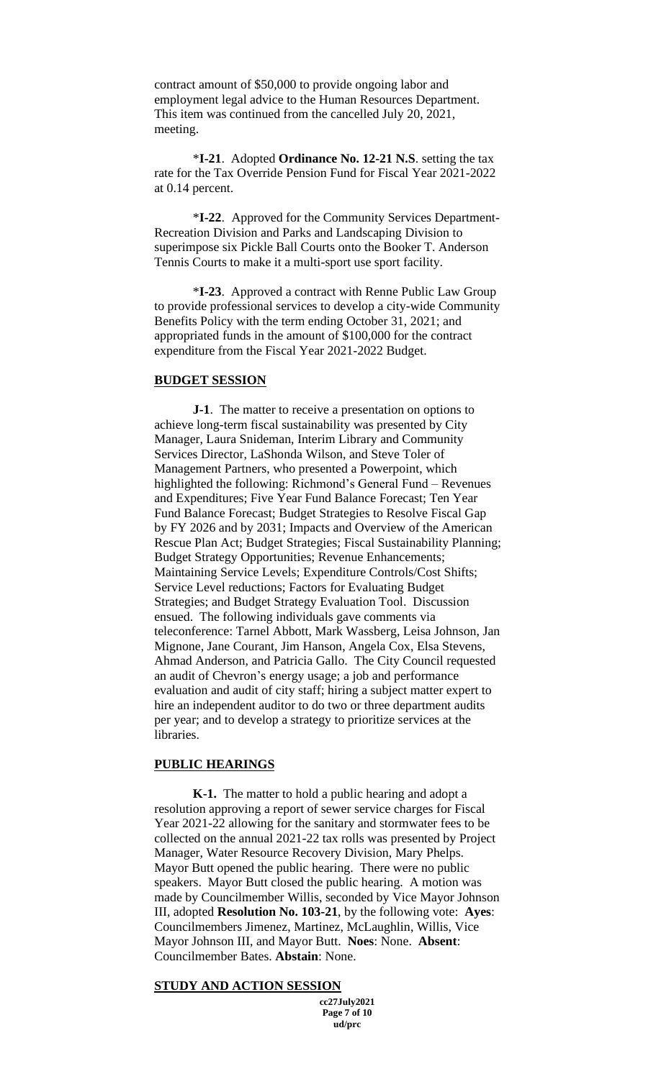contract amount of \$50,000 to provide ongoing labor and employment legal advice to the Human Resources Department. This item was continued from the cancelled July 20, 2021, meeting.

\***I-21**. Adopted **Ordinance No. 12-21 N.S**. setting the tax rate for the Tax Override Pension Fund for Fiscal Year 2021-2022 at 0.14 percent.

\***I-22**. Approved for the Community Services Department-Recreation Division and Parks and Landscaping Division to superimpose six Pickle Ball Courts onto the Booker T. Anderson Tennis Courts to make it a multi-sport use sport facility.

\***I-23**. Approved a contract with Renne Public Law Group to provide professional services to develop a city-wide Community Benefits Policy with the term ending October 31, 2021; and appropriated funds in the amount of \$100,000 for the contract expenditure from the Fiscal Year 2021-2022 Budget.

### **BUDGET SESSION**

**J-1**. The matter to receive a presentation on options to achieve long-term fiscal sustainability was presented by City Manager, Laura Snideman, Interim Library and Community Services Director, LaShonda Wilson, and Steve Toler of Management Partners, who presented a Powerpoint, which highlighted the following: Richmond's General Fund – Revenues and Expenditures; Five Year Fund Balance Forecast; Ten Year Fund Balance Forecast; Budget Strategies to Resolve Fiscal Gap by FY 2026 and by 2031; Impacts and Overview of the American Rescue Plan Act; Budget Strategies; Fiscal Sustainability Planning; Budget Strategy Opportunities; Revenue Enhancements; Maintaining Service Levels; Expenditure Controls/Cost Shifts; Service Level reductions; Factors for Evaluating Budget Strategies; and Budget Strategy Evaluation Tool. Discussion ensued. The following individuals gave comments via teleconference: Tarnel Abbott, Mark Wassberg, Leisa Johnson, Jan Mignone, Jane Courant, Jim Hanson, Angela Cox, Elsa Stevens, Ahmad Anderson, and Patricia Gallo. The City Council requested an audit of Chevron's energy usage; a job and performance evaluation and audit of city staff; hiring a subject matter expert to hire an independent auditor to do two or three department audits per year; and to develop a strategy to prioritize services at the libraries.

### **PUBLIC HEARINGS**

**K-1.** The matter to hold a public hearing and adopt a resolution approving a report of sewer service charges for Fiscal Year 2021-22 allowing for the sanitary and stormwater fees to be collected on the annual 2021-22 tax rolls was presented by Project Manager, Water Resource Recovery Division, Mary Phelps. Mayor Butt opened the public hearing. There were no public speakers. Mayor Butt closed the public hearing. A motion was made by Councilmember Willis, seconded by Vice Mayor Johnson III, adopted **Resolution No. 103-21**, by the following vote: **Ayes**: Councilmembers Jimenez, Martinez, McLaughlin, Willis, Vice Mayor Johnson III, and Mayor Butt. **Noes**: None. **Absent**: Councilmember Bates. **Abstain**: None.

### **STUDY AND ACTION SESSION**

**cc27July2021 Page 7 of 10 ud/prc**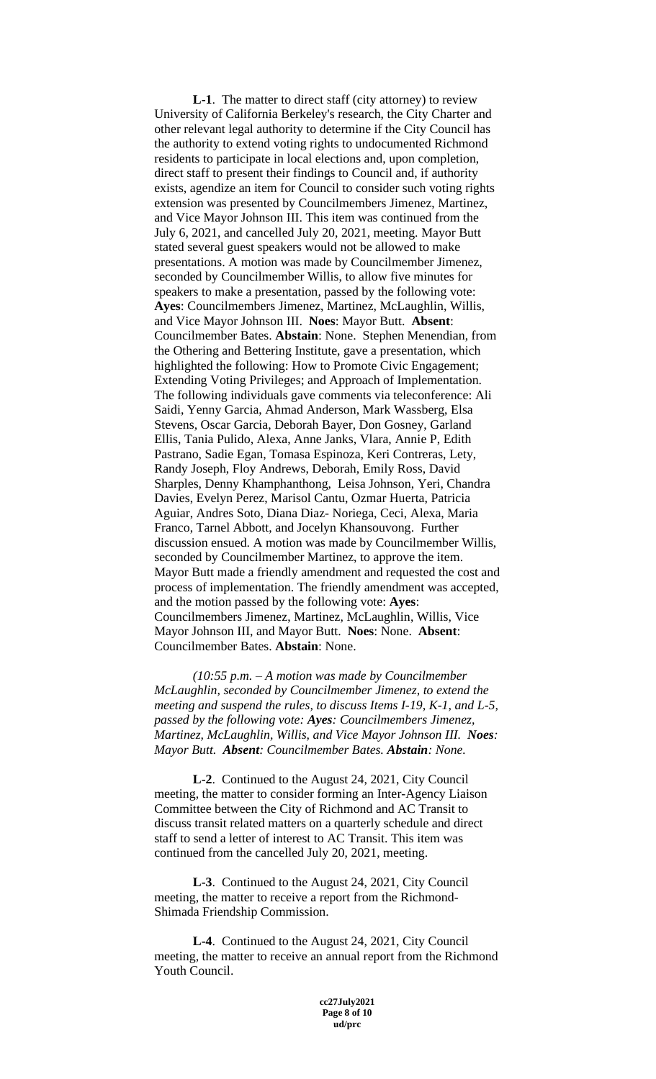**L-1**. The matter to direct staff (city attorney) to review University of California Berkeley's research, the City Charter and other relevant legal authority to determine if the City Council has the authority to extend voting rights to undocumented Richmond residents to participate in local elections and, upon completion, direct staff to present their findings to Council and, if authority exists, agendize an item for Council to consider such voting rights extension was presented by Councilmembers Jimenez, Martinez, and Vice Mayor Johnson III. This item was continued from the July 6, 2021, and cancelled July 20, 2021, meeting. Mayor Butt stated several guest speakers would not be allowed to make presentations. A motion was made by Councilmember Jimenez, seconded by Councilmember Willis, to allow five minutes for speakers to make a presentation, passed by the following vote: **Ayes**: Councilmembers Jimenez, Martinez, McLaughlin, Willis, and Vice Mayor Johnson III. **Noes**: Mayor Butt. **Absent**: Councilmember Bates. **Abstain**: None. Stephen Menendian, from the Othering and Bettering Institute, gave a presentation, which highlighted the following: How to Promote Civic Engagement; Extending Voting Privileges; and Approach of Implementation. The following individuals gave comments via teleconference: Ali Saidi, Yenny Garcia, Ahmad Anderson, Mark Wassberg, Elsa Stevens, Oscar Garcia, Deborah Bayer, Don Gosney, Garland Ellis, Tania Pulido, Alexa, Anne Janks, Vlara, Annie P, Edith Pastrano, Sadie Egan, Tomasa Espinoza, Keri Contreras, Lety, Randy Joseph, Floy Andrews, Deborah, Emily Ross, David Sharples, Denny Khamphanthong, Leisa Johnson, Yeri, Chandra Davies, Evelyn Perez, Marisol Cantu, Ozmar Huerta, Patricia Aguiar, Andres Soto, Diana Diaz- Noriega, Ceci, Alexa, Maria Franco, Tarnel Abbott, and Jocelyn Khansouvong. Further discussion ensued. A motion was made by Councilmember Willis, seconded by Councilmember Martinez, to approve the item. Mayor Butt made a friendly amendment and requested the cost and process of implementation. The friendly amendment was accepted, and the motion passed by the following vote: **Ayes**: Councilmembers Jimenez, Martinez, McLaughlin, Willis, Vice Mayor Johnson III, and Mayor Butt. **Noes**: None. **Absent**: Councilmember Bates. **Abstain**: None.

*(10:55 p.m. – A motion was made by Councilmember McLaughlin, seconded by Councilmember Jimenez, to extend the meeting and suspend the rules, to discuss Items I-19, K-1, and L-5, passed by the following vote: Ayes: Councilmembers Jimenez, Martinez, McLaughlin, Willis, and Vice Mayor Johnson III. Noes: Mayor Butt. Absent: Councilmember Bates. Abstain: None.* 

**L-2**. Continued to the August 24, 2021, City Council meeting, the matter to consider forming an Inter-Agency Liaison Committee between the City of Richmond and AC Transit to discuss transit related matters on a quarterly schedule and direct staff to send a letter of interest to AC Transit. This item was continued from the cancelled July 20, 2021, meeting.

**L-3**. Continued to the August 24, 2021, City Council meeting, the matter to receive a report from the Richmond-Shimada Friendship Commission.

**L-4**. Continued to the August 24, 2021, City Council meeting, the matter to receive an annual report from the Richmond Youth Council.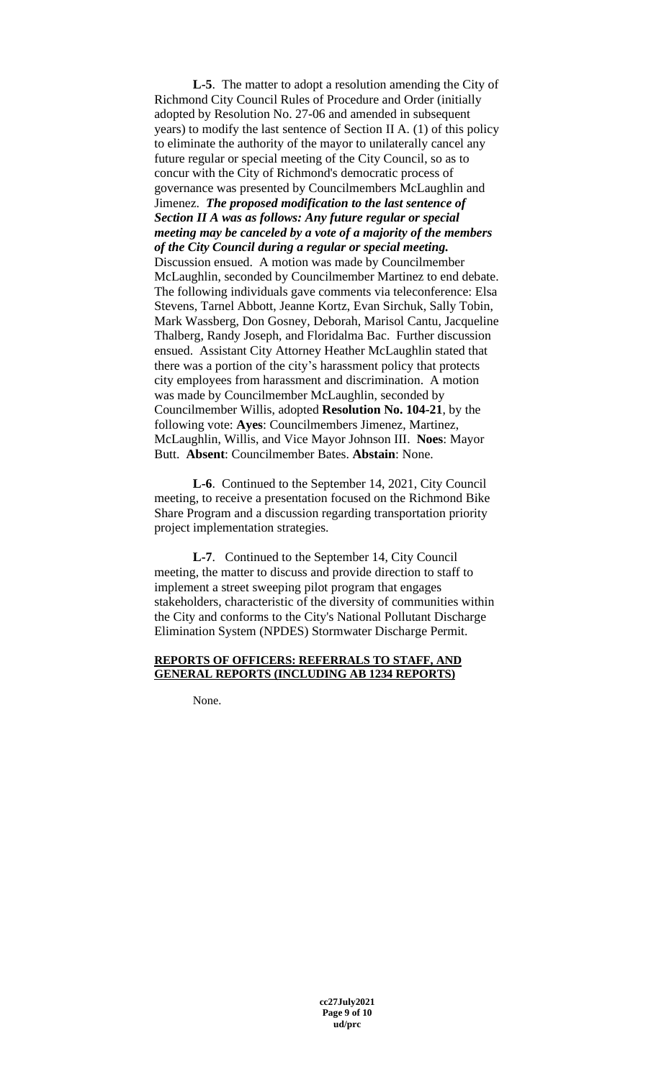**L-5**. The matter to adopt a resolution amending the City of Richmond City Council Rules of Procedure and Order (initially adopted by Resolution No. 27-06 and amended in subsequent years) to modify the last sentence of Section II A. (1) of this policy to eliminate the authority of the mayor to unilaterally cancel any future regular or special meeting of the City Council, so as to concur with the City of Richmond's democratic process of governance was presented by Councilmembers McLaughlin and Jimenez. *The proposed modification to the last sentence of Section II A was as follows: Any future regular or special meeting may be canceled by a vote of a majority of the members of the City Council during a regular or special meeting.* Discussion ensued. A motion was made by Councilmember McLaughlin, seconded by Councilmember Martinez to end debate. The following individuals gave comments via teleconference: Elsa Stevens, Tarnel Abbott, Jeanne Kortz, Evan Sirchuk, Sally Tobin, Mark Wassberg, Don Gosney, Deborah, Marisol Cantu, Jacqueline Thalberg, Randy Joseph, and Floridalma Bac. Further discussion ensued. Assistant City Attorney Heather McLaughlin stated that there was a portion of the city's harassment policy that protects city employees from harassment and discrimination. A motion was made by Councilmember McLaughlin, seconded by Councilmember Willis, adopted **Resolution No. 104-21**, by the following vote: **Ayes**: Councilmembers Jimenez, Martinez, McLaughlin, Willis, and Vice Mayor Johnson III. **Noes**: Mayor Butt. **Absent**: Councilmember Bates. **Abstain**: None.

**L-6**. Continued to the September 14, 2021, City Council meeting, to receive a presentation focused on the Richmond Bike Share Program and a discussion regarding transportation priority project implementation strategies.

**L-7**. Continued to the September 14, City Council meeting, the matter to discuss and provide direction to staff to implement a street sweeping pilot program that engages stakeholders, characteristic of the diversity of communities within the City and conforms to the City's National Pollutant Discharge Elimination System (NPDES) Stormwater Discharge Permit.

### **REPORTS OF OFFICERS: REFERRALS TO STAFF, AND GENERAL REPORTS (INCLUDING AB 1234 REPORTS)**

None.